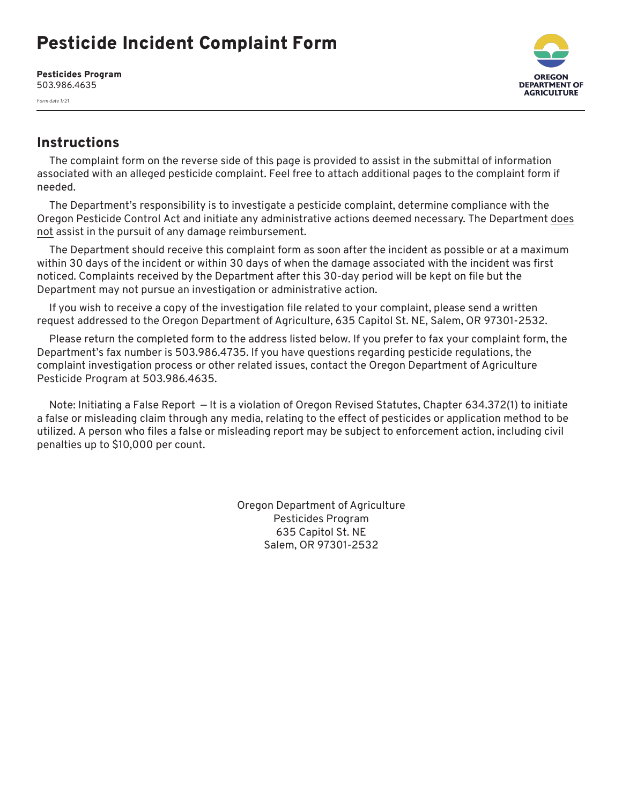## Pesticide Incident Complaint Form

Pesticides Program 503.986.4635

*Form date 1/21*



## **Instructions**

The complaint form on the reverse side of this page is provided to assist in the submittal of information associated with an alleged pesticide complaint. Feel free to attach additional pages to the complaint form if needed.

The Department's responsibility is to investigate a pesticide complaint, determine compliance with the Oregon Pesticide Control Act and initiate any administrative actions deemed necessary. The Department does not assist in the pursuit of any damage reimbursement.

The Department should receive this complaint form as soon after the incident as possible or at a maximum within 30 days of the incident or within 30 days of when the damage associated with the incident was first noticed. Complaints received by the Department after this 30-day period will be kept on file but the Department may not pursue an investigation or administrative action.

If you wish to receive a copy of the investigation file related to your complaint, please send a written request addressed to the Oregon Department of Agriculture, 635 Capitol St. NE, Salem, OR 97301-2532.

Please return the completed form to the address listed below. If you prefer to fax your complaint form, the Department's fax number is 503.986.4735. If you have questions regarding pesticide regulations, the complaint investigation process or other related issues, contact the Oregon Department of Agriculture Pesticide Program at 503.986.4635.

Note: Initiating a False Report — It is a violation of Oregon Revised Statutes, Chapter 634.372(1) to initiate a false or misleading claim through any media, relating to the effect of pesticides or application method to be utilized. A person who files a false or misleading report may be subject to enforcement action, including civil penalties up to \$10,000 per count.

> Oregon Department of Agriculture Pesticides Program 635 Capitol St. NE Salem, OR 97301-2532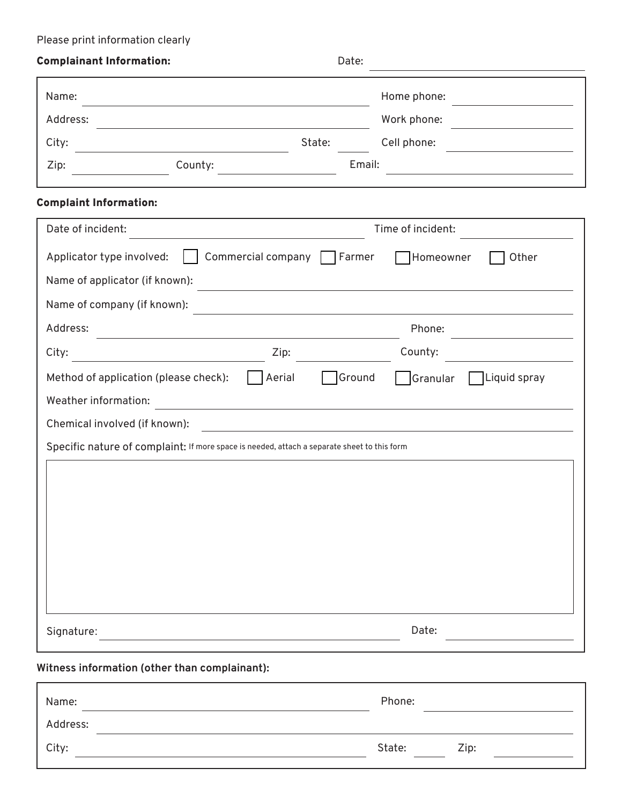## Please print information clearly

| <b>Complainant Information:</b>                                                                                                              | Date:                                                                                                                                                                                                                                                                                                                                                 |  |  |
|----------------------------------------------------------------------------------------------------------------------------------------------|-------------------------------------------------------------------------------------------------------------------------------------------------------------------------------------------------------------------------------------------------------------------------------------------------------------------------------------------------------|--|--|
| Name:                                                                                                                                        | Home phone:                                                                                                                                                                                                                                                                                                                                           |  |  |
| Address:                                                                                                                                     | Work phone:                                                                                                                                                                                                                                                                                                                                           |  |  |
| State:<br>City:                                                                                                                              | Cell phone:                                                                                                                                                                                                                                                                                                                                           |  |  |
| County:<br>Zip:                                                                                                                              | Email:                                                                                                                                                                                                                                                                                                                                                |  |  |
| <b>Complaint Information:</b>                                                                                                                |                                                                                                                                                                                                                                                                                                                                                       |  |  |
| Date of incident:                                                                                                                            | Time of incident:                                                                                                                                                                                                                                                                                                                                     |  |  |
| Applicator type involved:<br>Commercial company Farmer                                                                                       | Homeowner<br>Other                                                                                                                                                                                                                                                                                                                                    |  |  |
| Name of applicator (if known):<br>Name of company (if known):                                                                                | <u> 1989 - Johann Barn, amerikan besteman besteman besteman besteman besteman besteman besteman besteman bestema</u><br>the control of the control of the control of the control of the control of the control of the control of the control of the control of the control of the control of the control of the control of the control of the control |  |  |
| Address:                                                                                                                                     | Phone:                                                                                                                                                                                                                                                                                                                                                |  |  |
| City:<br>Zip:<br><u> 1980 - Johann Barbara, martxa alemaniar a</u>                                                                           | County:                                                                                                                                                                                                                                                                                                                                               |  |  |
| Aerial<br>Method of application (please check):                                                                                              | Ground<br>Granular<br>Liquid spray                                                                                                                                                                                                                                                                                                                    |  |  |
| Weather information:<br><u> 1989 - Johann Stein, mars an deutscher Stein und der Stein und der Stein und der Stein und der Stein und der</u> |                                                                                                                                                                                                                                                                                                                                                       |  |  |
| Chemical involved (if known):                                                                                                                | <u> 1980 - Jan Barbara (j. 1980)</u>                                                                                                                                                                                                                                                                                                                  |  |  |
| Specific nature of complaint: If more space is needed, attach a separate sheet to this form                                                  |                                                                                                                                                                                                                                                                                                                                                       |  |  |
|                                                                                                                                              |                                                                                                                                                                                                                                                                                                                                                       |  |  |
|                                                                                                                                              |                                                                                                                                                                                                                                                                                                                                                       |  |  |
|                                                                                                                                              |                                                                                                                                                                                                                                                                                                                                                       |  |  |
|                                                                                                                                              |                                                                                                                                                                                                                                                                                                                                                       |  |  |
|                                                                                                                                              |                                                                                                                                                                                                                                                                                                                                                       |  |  |
|                                                                                                                                              |                                                                                                                                                                                                                                                                                                                                                       |  |  |
|                                                                                                                                              |                                                                                                                                                                                                                                                                                                                                                       |  |  |
| Signature:                                                                                                                                   | Date:                                                                                                                                                                                                                                                                                                                                                 |  |  |
| Witness information (other than complainant):                                                                                                |                                                                                                                                                                                                                                                                                                                                                       |  |  |

| Name:    | Phone: |      |
|----------|--------|------|
| Address: |        |      |
| City:    | State: | Zip: |